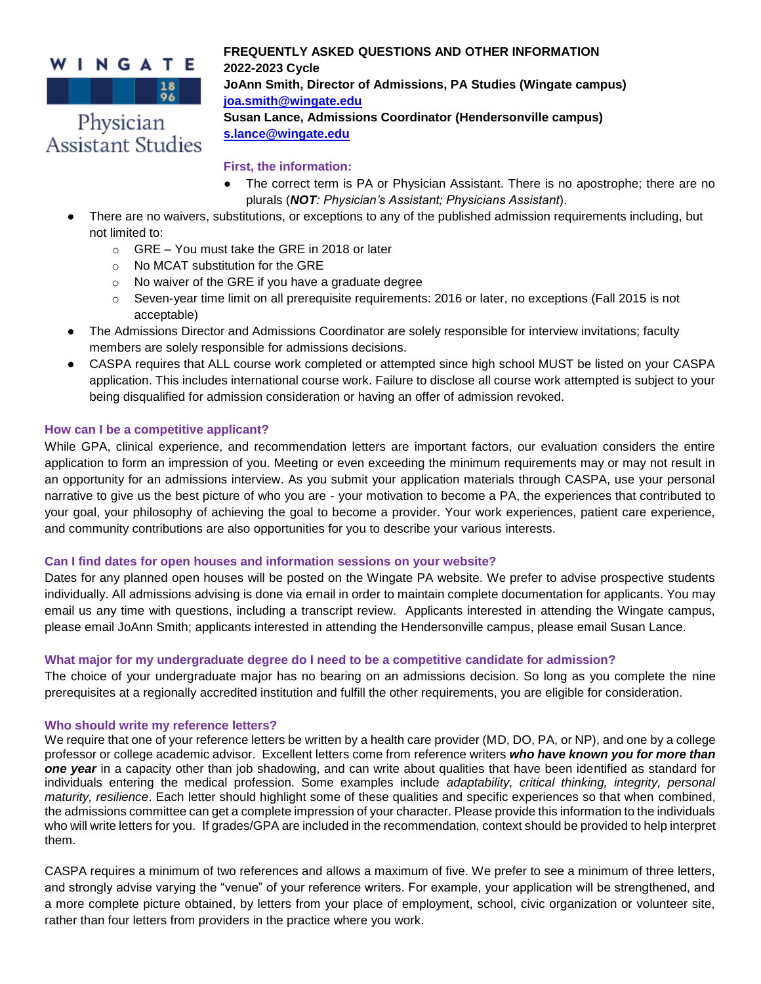# WINGATE

 $\begin{array}{|c|c|c|c|c|}\n\hline\n\textbf{1} & \textbf{18} \\
\hline\n\textbf{28} & \textbf{28} \\
\hline\n\textbf{39} & \textbf{28} \\
\hline\n\textbf{40} & \textbf{18} \\
\hline\n\textbf{51} & \textbf{18} \\
\hline\n\textbf{62} & \textbf{18} \\
\hline\n\textbf{7} & \textbf{18} \\
\hline\n\textbf{8} & \textbf{18} \\
\hline\n\textbf{9} & \textbf{18} \\
\hline\n\textbf{18} & \textbf{18} \\
\hline\n\text$ Physician

Assistant Studies

**2022-2023 Cycle JoAnn Smith, Director of Admissions, PA Studies (Wingate campus) [joa.smith@wingate.edu](about:blank) Susan Lance, Admissions Coordinator (Hendersonville campus)** 

**FREQUENTLY ASKED QUESTIONS AND OTHER INFORMATION**

# **[s.lance@wingate.edu](about:blank)**

### **First, the information:**

- The correct term is PA or Physician Assistant. There is no apostrophe; there are no plurals (*NOT: Physician's Assistant; Physicians Assistant*).
- There are no waivers, substitutions, or exceptions to any of the published admission requirements including, but not limited to:
	- o GRE You must take the GRE in 2018 or later
	- o No MCAT substitution for the GRE
	- o No waiver of the GRE if you have a graduate degree
	- $\circ$  Seven-year time limit on all prerequisite requirements: 2016 or later, no exceptions (Fall 2015 is not acceptable)
- The Admissions Director and Admissions Coordinator are solely responsible for interview invitations; faculty members are solely responsible for admissions decisions.
- CASPA requires that ALL course work completed or attempted since high school MUST be listed on your CASPA application. This includes international course work. Failure to disclose all course work attempted is subject to your being disqualified for admission consideration or having an offer of admission revoked.

# **How can I be a competitive applicant?**

While GPA, clinical experience, and recommendation letters are important factors, our evaluation considers the entire application to form an impression of you. Meeting or even exceeding the minimum requirements may or may not result in an opportunity for an admissions interview. As you submit your application materials through CASPA, use your personal narrative to give us the best picture of who you are - your motivation to become a PA, the experiences that contributed to your goal, your philosophy of achieving the goal to become a provider. Your work experiences, patient care experience, and community contributions are also opportunities for you to describe your various interests.

# **Can I find dates for open houses and information sessions on your website?**

Dates for any planned open houses will be posted on the Wingate PA website. We prefer to advise prospective students individually. All admissions advising is done via email in order to maintain complete documentation for applicants. You may email us any time with questions, including a transcript review. Applicants interested in attending the Wingate campus, please email JoAnn Smith; applicants interested in attending the Hendersonville campus, please email Susan Lance.

# **What major for my undergraduate degree do I need to be a competitive candidate for admission?**

The choice of your undergraduate major has no bearing on an admissions decision. So long as you complete the nine prerequisites at a regionally accredited institution and fulfill the other requirements, you are eligible for consideration.

#### **Who should write my reference letters?**

We require that one of your reference letters be written by a health care provider (MD, DO, PA, or NP), and one by a college professor or college academic advisor. Excellent letters come from reference writers *who have known you for more than one year* in a capacity other than job shadowing, and can write about qualities that have been identified as standard for individuals entering the medical profession. Some examples include *adaptability, critical thinking, integrity, personal maturity, resilience*. Each letter should highlight some of these qualities and specific experiences so that when combined, the admissions committee can get a complete impression of your character. Please provide this information to the individuals who will write letters for you. If grades/GPA are included in the recommendation, context should be provided to help interpret them.

CASPA requires a minimum of two references and allows a maximum of five. We prefer to see a minimum of three letters, and strongly advise varying the "venue" of your reference writers. For example, your application will be strengthened, and a more complete picture obtained, by letters from your place of employment, school, civic organization or volunteer site, rather than four letters from providers in the practice where you work.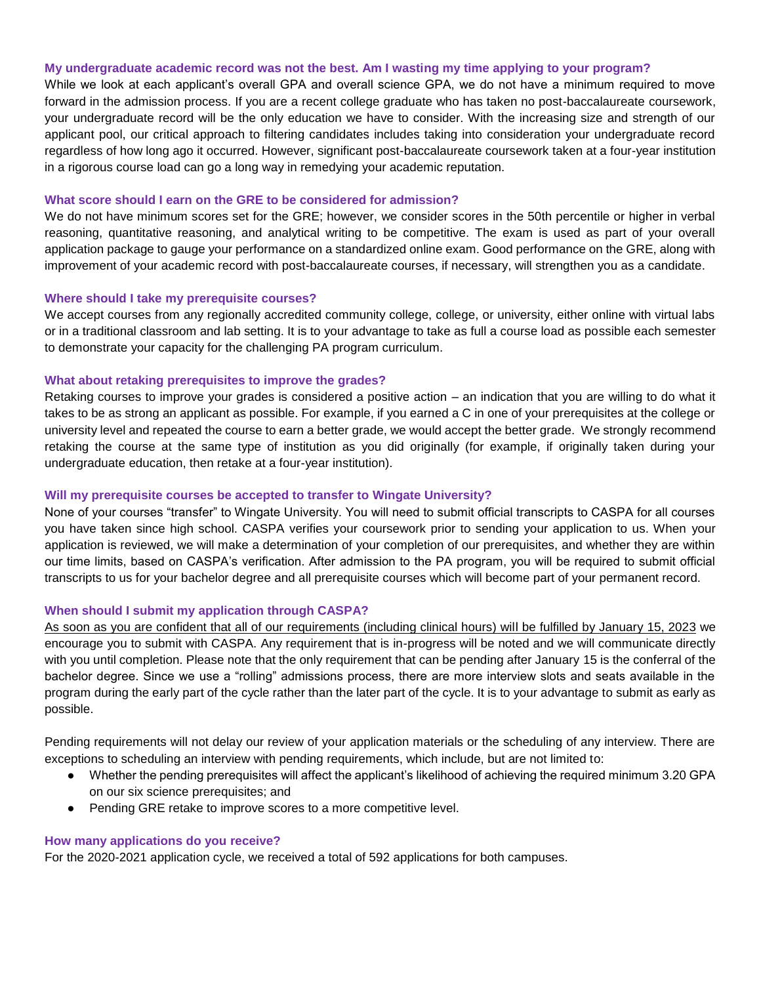#### **My undergraduate academic record was not the best. Am I wasting my time applying to your program?**

While we look at each applicant's overall GPA and overall science GPA, we do not have a minimum required to move forward in the admission process. If you are a recent college graduate who has taken no post-baccalaureate coursework, your undergraduate record will be the only education we have to consider. With the increasing size and strength of our applicant pool, our critical approach to filtering candidates includes taking into consideration your undergraduate record regardless of how long ago it occurred. However, significant post-baccalaureate coursework taken at a four-year institution in a rigorous course load can go a long way in remedying your academic reputation.

#### **What score should I earn on the GRE to be considered for admission?**

We do not have minimum scores set for the GRE; however, we consider scores in the 50th percentile or higher in verbal reasoning, quantitative reasoning, and analytical writing to be competitive. The exam is used as part of your overall application package to gauge your performance on a standardized online exam. Good performance on the GRE, along with improvement of your academic record with post-baccalaureate courses, if necessary, will strengthen you as a candidate.

#### **Where should I take my prerequisite courses?**

We accept courses from any regionally accredited community college, college, or university, either online with virtual labs or in a traditional classroom and lab setting. It is to your advantage to take as full a course load as possible each semester to demonstrate your capacity for the challenging PA program curriculum.

#### **What about retaking prerequisites to improve the grades?**

Retaking courses to improve your grades is considered a positive action – an indication that you are willing to do what it takes to be as strong an applicant as possible. For example, if you earned a C in one of your prerequisites at the college or university level and repeated the course to earn a better grade, we would accept the better grade. We strongly recommend retaking the course at the same type of institution as you did originally (for example, if originally taken during your undergraduate education, then retake at a four-year institution).

#### **Will my prerequisite courses be accepted to transfer to Wingate University?**

None of your courses "transfer" to Wingate University. You will need to submit official transcripts to CASPA for all courses you have taken since high school. CASPA verifies your coursework prior to sending your application to us. When your application is reviewed, we will make a determination of your completion of our prerequisites, and whether they are within our time limits, based on CASPA's verification. After admission to the PA program, you will be required to submit official transcripts to us for your bachelor degree and all prerequisite courses which will become part of your permanent record.

#### **When should I submit my application through CASPA?**

As soon as you are confident that all of our requirements (including clinical hours) will be fulfilled by January 15, 2023 we encourage you to submit with CASPA. Any requirement that is in-progress will be noted and we will communicate directly with you until completion. Please note that the only requirement that can be pending after January 15 is the conferral of the bachelor degree. Since we use a "rolling" admissions process, there are more interview slots and seats available in the program during the early part of the cycle rather than the later part of the cycle. It is to your advantage to submit as early as possible.

Pending requirements will not delay our review of your application materials or the scheduling of any interview. There are exceptions to scheduling an interview with pending requirements, which include, but are not limited to:

- Whether the pending prerequisites will affect the applicant's likelihood of achieving the required minimum 3.20 GPA on our six science prerequisites; and
- Pending GRE retake to improve scores to a more competitive level.

#### **How many applications do you receive?**

For the 2020-2021 application cycle, we received a total of 592 applications for both campuses.